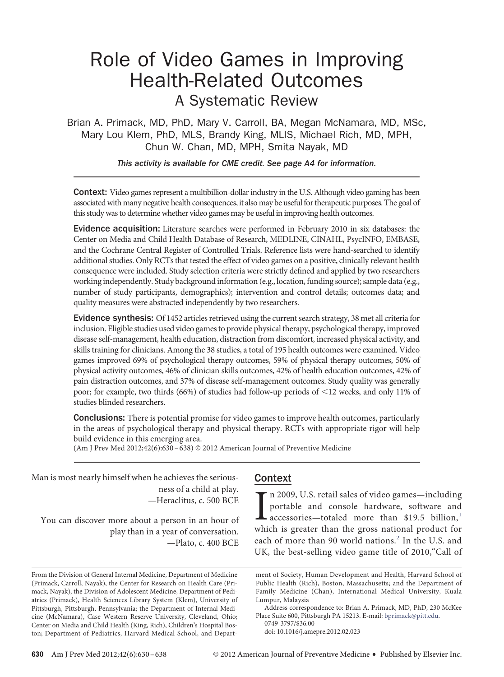# Role of Video Games in Improving Health-Related Outcomes A Systematic Review

Brian A. Primack, MD, PhD, Mary V. Carroll, BA, Megan McNamara, MD, MSc, Mary Lou Klem, PhD, MLS, Brandy King, MLIS, Michael Rich, MD, MPH, Chun W. Chan, MD, MPH, Smita Nayak, MD

*This activity is available for CME credit. See page A4 for information.*

**Context:** Video games represent a multibillion-dollar industry in the U.S. Although video gaming has been associated with many negative health consequences, it also may be useful for therapeutic purposes. The goal of this study was to determine whether video games may be useful in improving health outcomes.

Evidence acquisition: Literature searches were performed in February 2010 in six databases: the Center on Media and Child Health Database of Research, MEDLINE, CINAHL, PsycINFO, EMBASE, and the Cochrane Central Register of Controlled Trials. Reference lists were hand-searched to identify additional studies. Only RCTs that tested the effect of video games on a positive, clinically relevant health consequence were included. Study selection criteria were strictly defıned and applied by two researchers working independently. Study background information (e.g., location, funding source); sample data (e.g., number of study participants, demographics); intervention and control details; outcomes data; and quality measures were abstracted independently by two researchers.

Evidence synthesis: Of 1452 articles retrieved using the current search strategy, 38 met all criteria for inclusion. Eligible studies used video games to provide physical therapy, psychological therapy, improved disease self-management, health education, distraction from discomfort, increased physical activity, and skills training for clinicians. Among the 38 studies, a total of 195 health outcomes were examined. Video games improved 69% of psychological therapy outcomes, 59% of physical therapy outcomes, 50% of physical activity outcomes, 46% of clinician skills outcomes, 42% of health education outcomes, 42% of pain distraction outcomes, and 37% of disease self-management outcomes. Study quality was generally poor; for example, two thirds (66%) of studies had follow-up periods of  $\leq$ 12 weeks, and only 11% of studies blinded researchers.

Conclusions: There is potential promise for video games to improve health outcomes, particularly in the areas of psychological therapy and physical therapy. RCTs with appropriate rigor will help build evidence in this emerging area.

(Am J Prev Med 2012;42(6):630 – 638) © 2012 American Journal of Preventive Medicine

Man is most nearly himself when he achieves the seriousness of a child at play. —Heraclitus, c. 500 BCE

You can discover more about a person in an hour of play than in a year of conversation. —Plato, c. 400 BCE

# Context

 $\prod$  n 2009, U.S. retail sales of video games—including<br>portable and console hardware, software and<br>accessories—totaled more than \$19.5 billion,<sup>1</sup><br>which is greater than the gross national product for portable and console hardware, software and  $\triangle$  accessories—totaled more than \$[1](#page-6-0)9.5 billion,<sup>1</sup> which is greater than the gross national product for each of more than 90 world nations.<sup>[2](#page-6-1)</sup> In the U.S. and UK, the best-selling video game title of 2010,"Call of

From the Division of General Internal Medicine, Department of Medicine (Primack, Carroll, Nayak), the Center for Research on Health Care (Primack, Nayak), the Division of Adolescent Medicine, Department of Pediatrics (Primack), Health Sciences Library System (Klem), University of Pittsburgh, Pittsburgh, Pennsylvania; the Department of Internal Medicine (McNamara), Case Western Reserve University, Cleveland, Ohio; Center on Media and Child Health (King, Rich), Children's Hospital Boston; Department of Pediatrics, Harvard Medical School, and Department of Society, Human Development and Health, Harvard School of Public Health (Rich), Boston, Massachusetts; and the Department of Family Medicine (Chan), International Medical University, Kuala Lumpur, Malaysia

Address correspondence to: Brian A. Primack, MD, PhD, 230 McKee Place Suite 600, Pittsburgh PA 15213. E-mail: [bprimack@pitt.edu.](mailto:bprimack@pitt.edu) 0749-3797/\$36.00

doi: 10.1016/j.amepre.2012.02.023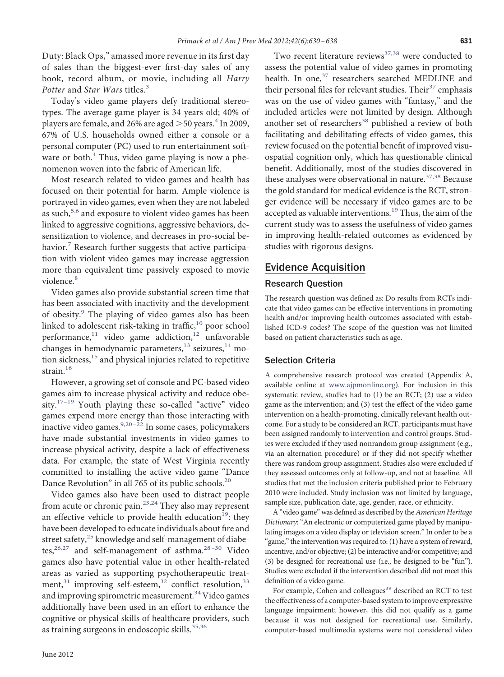Duty: Black Ops," amassed more revenue in its fırst day of sales than the biggest-ever fırst-day sales of any book, record album, or movie, including all *Harry Potter* and *Star Wars* titles.[3](#page-6-2)

Today's video game players defy traditional stereotypes. The average game player is 34 years old; 40% of players are female, and 26% are aged  $>$  50 years. $^4$  $^4$  In 2009, 67% of U.S. households owned either a console or a personal computer (PC) used to run entertainment software or both. $4$  Thus, video game playing is now a phenomenon woven into the fabric of American life.

Most research related to video games and health has focused on their potential for harm. Ample violence is portrayed in video games, even when they are not labeled as such,<sup>[5,6](#page-6-4)</sup> and exposure to violent video games has been linked to aggressive cognitions, aggressive behaviors, desensitization to violence, and decreases in pro-social behavior.<sup>7</sup> Research further suggests that active participation with violent video games may increase aggression more than equivalent time passively exposed to movie violence.<sup>[8](#page-6-6)</sup>

Video games also provide substantial screen time that has been associated with inactivity and the development of obesity.<sup>9</sup> The playing of video games also has been linked to adolescent risk-taking in traffic, $10$  poor school performance,<sup>[11](#page-6-9)</sup> video game addiction,<sup>[12](#page-6-10)</sup> unfavorable changes in hemodynamic parameters, $^{13}$  seizures, $^{14}$  $^{14}$  $^{14}$  motion sickness, $15$  and physical injuries related to repetitive strain. $16$ 

However, a growing set of console and PC-based video games aim to increase physical activity and reduce obesity. $17-19$  Youth playing these so-called "active" video games expend more energy than those interacting with inactive video games.<sup>9,20-22</sup> In some cases, policymakers have made substantial investments in video games to increase physical activity, despite a lack of effectiveness data. For example, the state of West Virginia recently committed to installing the active video game "Dance Dance Revolution" in all 765 of its public schools.<sup>[20](#page-6-16)</sup>

Video games also have been used to distract people from acute or chronic pain.<sup>[23,24](#page-6-17)</sup> They also may represent an effective vehicle to provide health education<sup>19</sup>: they have been developed to educate individuals about fıre and street safety, $25$  knowledge and self-management of diabetes,<sup>26,27</sup> and self-management of asthma.<sup>28-30</sup> Video games also have potential value in other health-related areas as varied as supporting psychotherapeutic treatment, $31$  improving self-esteem, $32$  conflict resolution,  $33$ and improving spirometric measurement.<sup>[34](#page-6-25)</sup> Video games additionally have been used in an effort to enhance the cognitive or physical skills of healthcare providers, such as training surgeons in endoscopic skills.<sup>[35,36](#page-7-0)</sup>

Two recent literature reviews<sup>[37,38](#page-7-1)</sup> were conducted to assess the potential value of video games in promoting health. In one,<sup>[37](#page-7-1)</sup> researchers searched MEDLINE and their personal files for relevant studies. Their $37$  emphasis was on the use of video games with "fantasy," and the included articles were not limited by design. Although another set of researchers<sup>[38](#page-7-2)</sup> published a review of both facilitating and debilitating effects of video games, this review focused on the potential benefıt of improved visuospatial cognition only, which has questionable clinical benefıt. Additionally, most of the studies discovered in these analyses were observational in nature.<sup>37,38</sup> Because the gold standard for medical evidence is the RCT, stronger evidence will be necessary if video games are to be accepted as valuable interventions.<sup>[19](#page-6-18)</sup> Thus, the aim of the current study was to assess the usefulness of video games in improving health-related outcomes as evidenced by studies with rigorous designs.

# Evidence Acquisition

## Research Question

The research question was defıned as: Do results from RCTs indicate that video games can be effective interventions in promoting health and/or improving health outcomes associated with established ICD-9 codes? The scope of the question was not limited based on patient characteristics such as age.

# Selection Criteria

A comprehensive research protocol was created (Appendix A, available online at [www.ajpmonline.org\)](http://www.ajpmonline.org). For inclusion in this systematic review, studies had to (1) be an RCT; (2) use a video game as the intervention; and (3) test the effect of the video game intervention on a health-promoting, clinically relevant health outcome. For a study to be considered an RCT, participants must have been assigned randomly to intervention and control groups. Studies were excluded if they used nonrandom group assignment (e.g., via an alternation procedure) or if they did not specify whether there was random group assignment. Studies also were excluded if they assessed outcomes only at follow-up, and not at baseline. All studies that met the inclusion criteria published prior to February 2010 were included. Study inclusion was not limited by language, sample size, publication date, age, gender, race, or ethnicity.

A "video game" was defıned as described by the *American Heritage Dictionary*: "An electronic or computerized game played by manipulating images on a video display or television screen." In order to be a "game," the intervention was required to: (1) have a system of reward, incentive, and/or objective; (2) be interactive and/or competitive; and (3) be designed for recreational use (i.e., be designed to be "fun"). Studies were excluded if the intervention described did not meet this defınition of a video game.

For example, Cohen and colleagues<sup>[39](#page-7-3)</sup> described an RCT to test the effectiveness of a computer-based system to improve expressive language impairment; however, this did not qualify as a game because it was not designed for recreational use. Similarly, computer-based multimedia systems were not considered video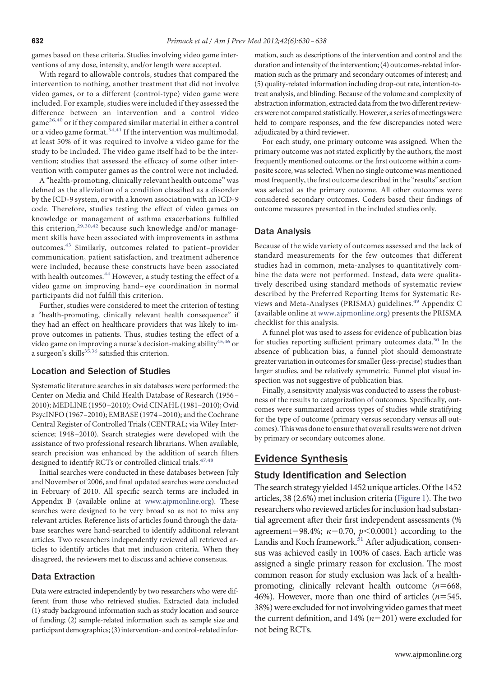games based on these criteria. Studies involving video game interventions of any dose, intensity, and/or length were accepted.

With regard to allowable controls, studies that compared the intervention to nothing, another treatment that did not involve video games, or to a different (control-type) video game were included. For example, studies were included if they assessed the difference between an intervention and a control video game<sup>[26,40](#page-6-20)</sup> or if they compared similar material in either a control or a video game format.<sup>[34,41](#page-6-25)</sup> If the intervention was multimodal, at least 50% of it was required to involve a video game for the study to be included. The video game itself had to be the intervention; studies that assessed the effıcacy of some other intervention with computer games as the control were not included.

A "health-promoting, clinically relevant health outcome" was defıned as the alleviation of a condition classifıed as a disorder by the ICD-9 system, or with a known association with an ICD-9 code. Therefore, studies testing the effect of video games on knowledge or management of asthma exacerbations fulfılled this criterion,<sup>[29,30,42](#page-6-26)</sup> because such knowledge and/or management skills have been associated with improvements in asthma outcomes.[43](#page-7-4) Similarly, outcomes related to patient–provider communication, patient satisfaction, and treatment adherence were included, because these constructs have been associated with health outcomes.<sup>[44](#page-7-5)</sup> However, a study testing the effect of a video game on improving hand– eye coordination in normal participants did not fulfıll this criterion.

Further, studies were considered to meet the criterion of testing a "health-promoting, clinically relevant health consequence" if they had an effect on healthcare providers that was likely to improve outcomes in patients. Thus, studies testing the effect of a video game on improving a nurse's decision-making ability<sup>[45,46](#page-7-6)</sup> or a surgeon's skills<sup>35,36</sup> satisfied this criterion.

### Location and Selection of Studies

Systematic literature searches in six databases were performed: the Center on Media and Child Health Database of Research (1956 – 2010); MEDLINE (1950 –2010); Ovid CINAHL (1981–2010); Ovid PsycINFO (1967–2010); EMBASE (1974 –2010); and the Cochrane Central Register of Controlled Trials (CENTRAL; via Wiley Interscience; 1948 –2010). Search strategies were developed with the assistance of two professional research librarians. When available, search precision was enhanced by the addition of search fılters designed to identify RCTs or controlled clinical trials.<sup>47,48</sup>

Initial searches were conducted in these databases between July and November of 2006, and fınal updated searches were conducted in February of 2010. All specifıc search terms are included in Appendix B (available online at [www.ajpmonline.org\)](http://www.ajpmonline.org). These searches were designed to be very broad so as not to miss any relevant articles. Reference lists of articles found through the database searches were hand-searched to identify additional relevant articles. Two researchers independently reviewed all retrieved articles to identify articles that met inclusion criteria. When they disagreed, the reviewers met to discuss and achieve consensus.

## Data Extraction

Data were extracted independently by two researchers who were different from those who retrieved studies. Extracted data included (1) study background information such as study location and source of funding; (2) sample-related information such as sample size and participant demographics; (3) intervention- and control-related infor-

mation, such as descriptions of the intervention and control and the duration and intensity of the intervention; (4) outcomes-related information such as the primary and secondary outcomes of interest; and (5) quality-related information including drop-out rate, intention-totreat analysis, and blinding. Because of the volume and complexity of abstraction information, extracted data from the two different reviewers were not compared statistically. However, a series of meetings were held to compare responses, and the few discrepancies noted were adjudicated by a third reviewer.

For each study, one primary outcome was assigned. When the primary outcome was not stated explicitly by the authors, the most frequently mentioned outcome, or the fırst outcome within a composite score, was selected. When no single outcome was mentioned most frequently, the fırst outcome described in the "results" section was selected as the primary outcome. All other outcomes were considered secondary outcomes. Coders based their fındings of outcome measures presented in the included studies only.

## Data Analysis

Because of the wide variety of outcomes assessed and the lack of standard measurements for the few outcomes that different studies had in common, meta-analyses to quantitatively combine the data were not performed. Instead, data were qualitatively described using standard methods of systematic review described by the Preferred Reporting Items for Systematic Re-views and Meta-Analyses (PRISMA) guidelines.<sup>[49](#page-7-8)</sup> Appendix C (available online at [www.ajpmonline.org\)](http://www.ajpmonline.org) presents the PRISMA checklist for this analysis.

A funnel plot was used to assess for evidence of publication bias for studies reporting sufficient primary outcomes data.<sup>50</sup> In the absence of publication bias, a funnel plot should demonstrate greater variation in outcomes for smaller (less-precise) studies than larger studies, and be relatively symmetric. Funnel plot visual inspection was not suggestive of publication bias.

Finally, a sensitivity analysis was conducted to assess the robustness of the results to categorization of outcomes. Specifıcally, outcomes were summarized across types of studies while stratifying for the type of outcome (primary versus secondary versus all outcomes). This was done to ensure that overall results were not driven by primary or secondary outcomes alone.

# Evidence Synthesis

# Study Identification and Selection

The search strategy yielded 1452 unique articles. Of the 1452 articles, 38 (2.6%) met inclusion criteria [\(Figure 1\)](#page-3-0). The two researchers who reviewed articles for inclusion had substantial agreement after their fırst independent assessments (% agreement=98.4%;  $\kappa$ =0.70,  $p$ <0.0001) according to the Landis and Koch framework.<sup>51</sup> After adjudication, consensus was achieved easily in 100% of cases. Each article was assigned a single primary reason for exclusion. The most common reason for study exclusion was lack of a healthpromoting, clinically relevant health outcome  $(n=668,$ 46%). However, more than one third of articles  $(n=545,$ 38%) were excluded for not involving video games that meet the current definition, and  $14\%$  ( $n=201$ ) were excluded for not being RCTs.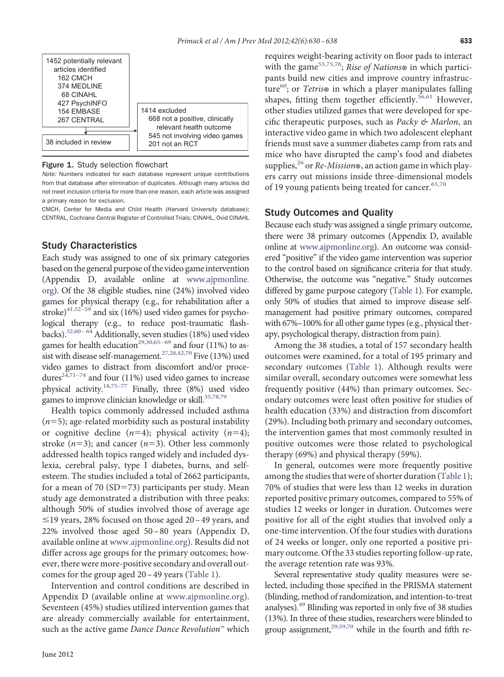

#### <span id="page-3-0"></span>Figure 1. Study selection flowchart

*Note:* Numbers indicated for each database represent unique contributions from that database after elimination of duplicates. Although many articles did not meet inclusion criteria for more than one reason, each article was assigned a primary reason for exclusion.

CMCH, Center for Media and Child Health (Harvard University database); CENTRAL, Cochrane Central Register of Controlled Trials; CINAHL, Ovid CINAHL

# Study Characteristics

Each study was assigned to one of six primary categories based on the general purpose of the video game intervention (Appendix D, available online at [www.ajpmonline.](http://www.ajpmonline.org) [org\)](http://www.ajpmonline.org). Of the 38 eligible studies, nine (24%) involved video games for physical therapy (e.g., for rehabilitation after a stroke) $41,52-59$  and six (16%) used video games for psychological therapy (e.g., to reduce post-traumatic flashbacks). $32,60-64$  Additionally, seven studies (18%) used video games for health education<sup>29,30,65–69</sup> and four (11%) to assist with disease self-management.<sup>27,28,42,70</sup> Five (13%) used video games to distract from discomfort and/or procedures<sup>24,71–74</sup> and four (11%) used video games to increase physical activity[.18,75–77](#page-6-29) Finally, three (8%) used video games to improve clinician knowledge or skill.<sup>35,78,79</sup>

Health topics commonly addressed included asthma  $(n=5)$ ; age-related morbidity such as postural instability or cognitive decline  $(n=4)$ ; physical activity  $(n=4)$ ; stroke  $(n=3)$ ; and cancer  $(n=3)$ . Other less commonly addressed health topics ranged widely and included dyslexia, cerebral palsy, type I diabetes, burns, and selfesteem. The studies included a total of 2662 participants, for a mean of 70 (SD=73) participants per study. Mean study age demonstrated a distribution with three peaks: although 50% of studies involved those of average age -19 years, 28% focused on those aged 20 – 49 years, and 22% involved those aged 50 – 80 years (Appendix D, available online at [www.ajpmonline.org\)](http://www.ajpmonline.org). Results did not differ across age groups for the primary outcomes; however, there were more-positive secondary and overall outcomes for the group aged 20 – 49 years [\(Table 1\)](#page-4-0).

Intervention and control conditions are described in Appendix D (available online at [www.ajpmonline.org\)](http://www.ajpmonline.org). Seventeen (45%) studies utilized intervention games that are already commercially available for entertainment, such as the active game *Dance Dance Revolution*™ which

requires weight-bearing activity on floor pads to interact with the game[53,75,76;](#page-7-12) *Rise of Nations*®in which participants build new cities and improve country infrastructur[e60;](#page-7-13) or *Tetris*® in which a player manipulates falling shapes, fitting them together efficiently.<sup>[56,61](#page-7-14)</sup> However, other studies utilized games that were developed for specifıc therapeutic purposes, such as *Packy & Marlon*, an interactive video game in which two adolescent elephant friends must save a summer diabetes camp from rats and mice who have disrupted the camp's food and diabetes supplies,<sup>[26](#page-6-20)</sup> or *Re-Mission*®, an action game in which players carry out missions inside three-dimensional models ers carry out missions inside three-dimensional models of 19 young patients being treated for cancer.<sup>[65,70](#page-7-15)</sup>

# Study Outcomes and Quality

Because each study was assigned a single primary outcome, there were 38 primary outcomes (Appendix D, available online at [www.ajpmonline.org\)](http://www.ajpmonline.org). An outcome was considered "positive" if the video game intervention was superior to the control based on signifıcance criteria for that study. Otherwise, the outcome was "negative." Study outcomes differed by game purpose category [\(Table 1\)](#page-4-0). For example, only 50% of studies that aimed to improve disease selfmanagement had positive primary outcomes, compared with 67%–100% for all other game types (e.g., physical therapy, psychological therapy, distraction from pain).

Among the 38 studies, a total of 157 secondary health outcomes were examined, for a total of 195 primary and secondary outcomes [\(Table 1\)](#page-4-0). Although results were similar overall, secondary outcomes were somewhat less frequently positive (44%) than primary outcomes. Secondary outcomes were least often positive for studies of health education (33%) and distraction from discomfort (29%). Including both primary and secondary outcomes, the intervention games that most commonly resulted in positive outcomes were those related to psychological therapy (69%) and physical therapy (59%).

In general, outcomes were more frequently positive among the studies that were of shorter duration [\(Table 1\)](#page-4-0); 70% of studies that were less than 12 weeks in duration reported positive primary outcomes, compared to 55% of studies 12 weeks or longer in duration. Outcomes were positive for all of the eight studies that involved only a one-time intervention. Of the four studies with durations of 24 weeks or longer, only one reported a positive primary outcome. Of the 33 studies reporting follow-up rate, the average retention rate was 93%.

Several representative study quality measures were selected, including those specifıed in the PRISMA statement (blinding, method of randomization, and intention-to-treat analyses).<sup>49</sup> Blinding was reported in only five of 38 studies (13%). In three of these studies, researchers were blinded to group assignment, $29,59,70$  while in the fourth and fifth re-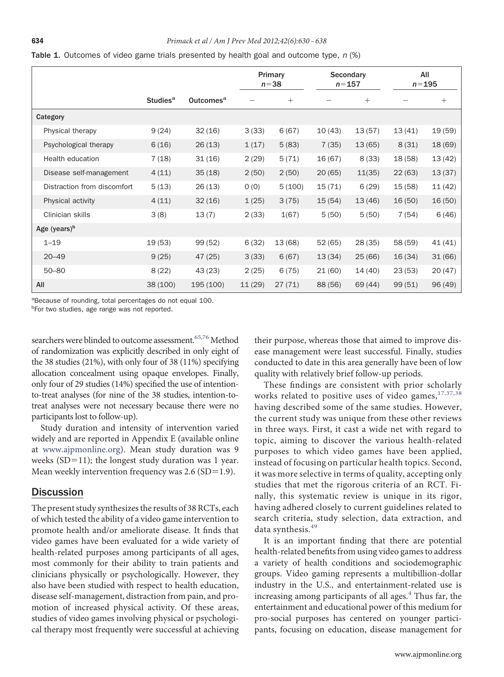<span id="page-4-0"></span>

|  | Table 1. Outcomes of video game trials presented by health goal and outcome type, $n$ (%) |  |  |  |  |
|--|-------------------------------------------------------------------------------------------|--|--|--|--|
|--|-------------------------------------------------------------------------------------------|--|--|--|--|

|                             |                      |                       |        | Primary<br>$n = 38$ |         | Secondary<br>$n = 157$ |         | All<br>$n = 195$ |  |
|-----------------------------|----------------------|-----------------------|--------|---------------------|---------|------------------------|---------|------------------|--|
|                             | Studies <sup>a</sup> | Outcomes <sup>a</sup> |        | $^{+}$              |         | $^{+}$                 |         | $^{+}$           |  |
| Category                    |                      |                       |        |                     |         |                        |         |                  |  |
| Physical therapy            | 9(24)                | 32(16)                | 3(33)  | 6(67)               | 10(43)  | 13(57)                 | 13(41)  | 19 (59)          |  |
| Psychological therapy       | 6(16)                | 26(13)                | 1(17)  | 5(83)               | 7(35)   | 13(65)                 | 8(31)   | 18 (69)          |  |
| Health education            | 7(18)                | 31(16)                | 2(29)  | 5(71)               | 16 (67) | 8(33)                  | 18 (58) | 13(42)           |  |
| Disease self-management     | 4(11)                | 35(18)                | 2(50)  | 2(50)               | 20(65)  | 11(35)                 | 22(63)  | 13(37)           |  |
| Distraction from discomfort | 5(13)                | 26(13)                | O(0)   | 5(100)              | 15(71)  | 6(29)                  | 15(58)  | 11(42)           |  |
| Physical activity           | 4(11)                | 32(16)                | 1(25)  | 3(75)               | 15(54)  | 13(46)                 | 16(50)  | 16(50)           |  |
| Clinician skills            | 3(8)                 | 13(7)                 | 2(33)  | 1(67)               | 5(50)   | 5(50)                  | 7(54)   | 6(46)            |  |
| Age (years) <sup>b</sup>    |                      |                       |        |                     |         |                        |         |                  |  |
| $1 - 19$                    | 19 (53)              | 99 (52)               | 6(32)  | 13(68)              | 52(65)  | 28(35)                 | 58 (59) | 41 (41)          |  |
| $20 - 49$                   | 9(25)                | 47 (25)               | 3(33)  | 6(67)               | 13(34)  | 25(66)                 | 16(34)  | 31(66)           |  |
| $50 - 80$                   | 8(22)                | 43(23)                | 2(25)  | 6(75)               | 21(60)  | 14(40)                 | 23(53)  | 20(47)           |  |
| All                         | 38 (100)             | 195 (100)             | 11(29) | 27(71)              | 88 (56) | 69 (44)                | 99(51)  | 96(49)           |  |

<sup>a</sup>Because of rounding, total percentages do not equal 100.

<sup>b</sup>For two studies, age range was not reported.

searchers were blinded to outcome assessment.<sup>65,76</sup> Method of randomization was explicitly described in only eight of the 38 studies (21%), with only four of 38 (11%) specifying allocation concealment using opaque envelopes. Finally, only four of 29 studies (14%) specifıed the use of intentionto-treat analyses (for nine of the 38 studies, intention-totreat analyses were not necessary because there were no participants lost to follow-up).

Study duration and intensity of intervention varied widely and are reported in Appendix E (available online at [www.ajpmonline.org\)](http://www.ajpmonline.org). Mean study duration was 9 weeks (SD=11); the longest study duration was 1 year. Mean weekly intervention frequency was  $2.6$  (SD=1.9).

# Discussion

The present study synthesizes the results of 38 RCTs, each of which tested the ability of a video game intervention to promote health and/or ameliorate disease. It fınds that video games have been evaluated for a wide variety of health-related purposes among participants of all ages, most commonly for their ability to train patients and clinicians physically or psychologically. However, they also have been studied with respect to health education, disease self-management, distraction from pain, and promotion of increased physical activity. Of these areas, studies of video games involving physical or psychological therapy most frequently were successful at achieving

their purpose, whereas those that aimed to improve disease management were least successful. Finally, studies conducted to date in this area generally have been of low quality with relatively brief follow-up periods.

These fındings are consistent with prior scholarly works related to positive uses of video games,  $17,37,38$ having described some of the same studies. However, the current study was unique from these other reviews in three ways. First, it cast a wide net with regard to topic, aiming to discover the various health-related purposes to which video games have been applied, instead of focusing on particular health topics. Second, it was more selective in terms of quality, accepting only studies that met the rigorous criteria of an RCT. Finally, this systematic review is unique in its rigor, having adhered closely to current guidelines related to search criteria, study selection, data extraction, and data synthesis.<sup>[49](#page-7-8)</sup>

It is an important fınding that there are potential health-related benefıts from using video games to address a variety of health conditions and sociodemographic groups. Video gaming represents a multibillion-dollar industry in the U.S., and entertainment-related use is increasing among participants of all ages. $4$  Thus far, the entertainment and educational power of this medium for pro-social purposes has centered on younger participants, focusing on education, disease management for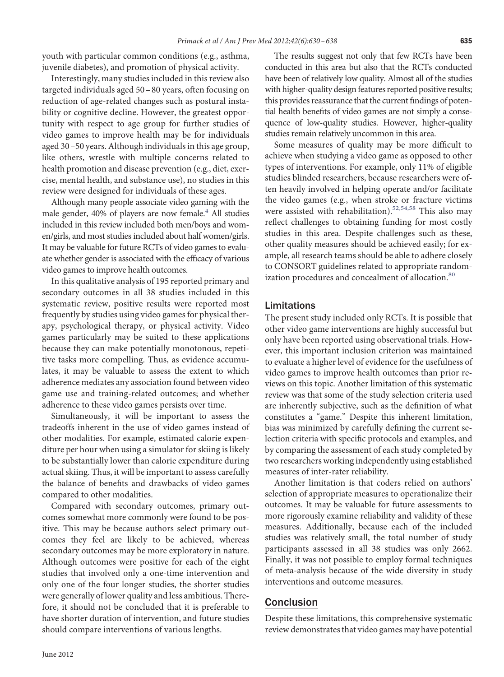youth with particular common conditions (e.g., asthma, juvenile diabetes), and promotion of physical activity.

Interestingly, many studies included in this review also targeted individuals aged 50 – 80 years, often focusing on reduction of age-related changes such as postural instability or cognitive decline. However, the greatest opportunity with respect to age group for further studies of video games to improve health may be for individuals aged 30 –50 years. Although individuals in this age group, like others, wrestle with multiple concerns related to health promotion and disease prevention (e.g., diet, exercise, mental health, and substance use), no studies in this review were designed for individuals of these ages.

Although many people associate video gaming with the male gender,  $40\%$  of players are now female.<sup>4</sup> All studies included in this review included both men/boys and women/girls, and most studies included about half women/girls. It may be valuable for future RCTs of video games to evaluate whether gender is associated with the effıcacy of various video games to improve health outcomes.

In this qualitative analysis of 195 reported primary and secondary outcomes in all 38 studies included in this systematic review, positive results were reported most frequently by studies using video games for physical therapy, psychological therapy, or physical activity. Video games particularly may be suited to these applications because they can make potentially monotonous, repetitive tasks more compelling. Thus, as evidence accumulates, it may be valuable to assess the extent to which adherence mediates any association found between video game use and training-related outcomes; and whether adherence to these video games persists over time.

Simultaneously, it will be important to assess the tradeoffs inherent in the use of video games instead of other modalities. For example, estimated calorie expenditure per hour when using a simulator for skiing is likely to be substantially lower than calorie expenditure during actual skiing. Thus, it will be important to assess carefully the balance of benefıts and drawbacks of video games compared to other modalities.

Compared with secondary outcomes, primary outcomes somewhat more commonly were found to be positive. This may be because authors select primary outcomes they feel are likely to be achieved, whereas secondary outcomes may be more exploratory in nature. Although outcomes were positive for each of the eight studies that involved only a one-time intervention and only one of the four longer studies, the shorter studies were generally of lower quality and less ambitious. Therefore, it should not be concluded that it is preferable to have shorter duration of intervention, and future studies should compare interventions of various lengths.

The results suggest not only that few RCTs have been conducted in this area but also that the RCTs conducted have been of relatively low quality. Almost all of the studies with higher-quality design features reported positive results; this provides reassurance that the current fındings of potential health benefıts of video games are not simply a consequence of low-quality studies. However, higher-quality studies remain relatively uncommon in this area.

Some measures of quality may be more diffıcult to achieve when studying a video game as opposed to other types of interventions. For example, only 11% of eligible studies blinded researchers, because researchers were often heavily involved in helping operate and/or facilitate the video games (e.g., when stroke or fracture victims were assisted with rehabilitation).<sup>[52,54,58](#page-7-16)</sup> This also may reflect challenges to obtaining funding for most costly studies in this area. Despite challenges such as these, other quality measures should be achieved easily; for example, all research teams should be able to adhere closely to CONSORT guidelines related to appropriate random-ization procedures and concealment of allocation.<sup>[80](#page-8-0)</sup>

# Limitations

The present study included only RCTs. It is possible that other video game interventions are highly successful but only have been reported using observational trials. However, this important inclusion criterion was maintained to evaluate a higher level of evidence for the usefulness of video games to improve health outcomes than prior reviews on this topic. Another limitation of this systematic review was that some of the study selection criteria used are inherently subjective, such as the defınition of what constitutes a "game." Despite this inherent limitation, bias was minimized by carefully defıning the current selection criteria with specifıc protocols and examples, and by comparing the assessment of each study completed by two researchers working independently using established measures of inter-rater reliability.

Another limitation is that coders relied on authors' selection of appropriate measures to operationalize their outcomes. It may be valuable for future assessments to more rigorously examine reliability and validity of these measures. Additionally, because each of the included studies was relatively small, the total number of study participants assessed in all 38 studies was only 2662. Finally, it was not possible to employ formal techniques of meta-analysis because of the wide diversity in study interventions and outcome measures.

# Conclusion

Despite these limitations, this comprehensive systematic review demonstrates that video games may have potential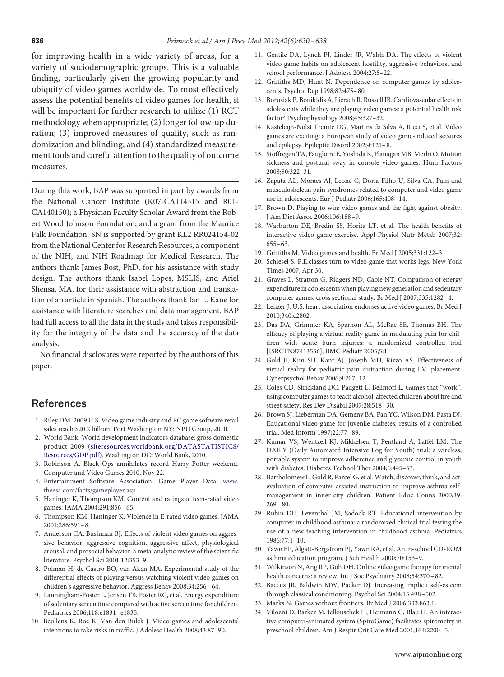for improving health in a wide variety of areas, for a variety of sociodemographic groups. This is a valuable fınding, particularly given the growing popularity and ubiquity of video games worldwide. To most effectively assess the potential benefıts of video games for health, it will be important for further research to utilize (1) RCT methodology when appropriate; (2) longer follow-up duration; (3) improved measures of quality, such as randomization and blinding; and (4) standardized measurement tools and careful attention to the quality of outcome measures.

During this work, BAP was supported in part by awards from the National Cancer Institute (K07-CA114315 and R01- CA140150); a Physician Faculty Scholar Award from the Robert Wood Johnson Foundation; and a grant from the Maurice Falk Foundation. SN is supported by grant KL2 RR024154-02 from the National Center for Research Resources, a component of the NIH, and NIH Roadmap for Medical Research. The authors thank James Bost, PhD, for his assistance with study design. The authors thank Isabel Lopes, MSLIS, and Ariel Shensa, MA, for their assistance with abstraction and translation of an article in Spanish. The authors thank Ian L. Kane for assistance with literature searches and data management. BAP had full access to all the data in the study and takes responsibility for the integrity of the data and the accuracy of the data analysis.

No fınancial disclosures were reported by the authors of this paper.

# <span id="page-6-0"></span>References

- <span id="page-6-1"></span>1. Riley DM. 2009 U.S. Video game industry and PC game software retail sales reach \$20.2 billion. Port Washington NY: NPD Group, 2010.
- 2. World Bank. World development indicators database: gross domestic product 2009 [\(siteresources.worldbank.org/DATASTATISTICS/](http://siteresources.worldbank.org/DATASTATISTICS/Resources/GDP.pdf) [Resources/GDP.pdf\).](http://siteresources.worldbank.org/DATASTATISTICS/Resources/GDP.pdf) Washington DC: World Bank, 2010.
- <span id="page-6-3"></span><span id="page-6-2"></span>3. Robinson A. Black Ops annihilates record Harry Potter weekend. Computer and Video Games 2010, Nov 22.
- <span id="page-6-4"></span>4. Entertainment Software Association. Game Player Data. [www.](http://www.theesa.com/facts/gameplayer.asp) [theesa.com/facts/gameplayer.asp.](http://www.theesa.com/facts/gameplayer.asp)
- 5. Haninger K, Thompson KM. Content and ratings of teen-rated video games. JAMA 2004;291:856 – 65.
- <span id="page-6-5"></span>6. Thompson KM, Haninger K. Violence in E-rated video games. JAMA 2001;286:591– 8.
- 7. Anderson CA, Bushman BJ. Effects of violent video games on aggressive behavior, aggressive cognition, aggressive affect, physiological arousal, and prosocial behavior: a meta-analytic review of the scientifıc literature. Psychol Sci 2001;12:353–9.
- <span id="page-6-6"></span>8. Polman H, de Castro BO, van Aken MA. Experimental study of the differential effects of playing versus watching violent video games on children's aggressive behavior. Aggress Behav 2008;34:256 – 64.
- <span id="page-6-8"></span><span id="page-6-7"></span>9. Lanningham-Foster L, Jensen TB, Foster RC, et al. Energy expenditure of sedentary screen time compared with active screen time for children. Pediatrics 2006;118:e1831– e1835.
- 10. Beullens K, Roe K, Van den Bulck J. Video games and adolescents' intentions to take risks in traffıc. J Adolesc Health 2008;43:87–90.
- <span id="page-6-9"></span>11. Gentile DA, Lynch PJ, Linder JR, Walsh DA. The effects of violent video game habits on adolescent hostility, aggressive behaviors, and school performance. J Adolesc 2004;27:5–22.
- <span id="page-6-10"></span>12. Griffıths MD, Hunt N. Dependence on computer games by adolescents. Psychol Rep 1998;82:475– 80.
- <span id="page-6-11"></span>13. Borusiak P, Bouikidis A, Liersch R, Russell JB. Cardiovascular effects in adolescents while they are playing video games: a potential health risk factor? Psychophysiology 2008;45:327–32.
- <span id="page-6-12"></span>14. Kasteleijn-Nolst Trenite DG, Martins da Silva A, Ricci S, et al. Video games are exciting: a European study of video game-induced seizures and epilepsy. Epileptic Disord 2002;4:121– 8.
- <span id="page-6-13"></span>15. Stoffregen TA, Faugloire E, Yoshida K, Flanagan MB, Merhi O. Motion sickness and postural sway in console video games. Hum Factors 2008;50:322–31.
- <span id="page-6-14"></span>16. Zapata AL, Moraes AJ, Leone C, Doria-Filho U, Silva CA. Pain and musculoskeletal pain syndromes related to computer and video game use in adolescents. Eur J Pediatr 2006;165:408 –14.
- <span id="page-6-29"></span><span id="page-6-15"></span>17. Brown D. Playing to win: video games and the fıght against obesity. J Am Diet Assoc 2006;106:188 –9.
- 18. Warburton DE, Bredin SS, Horita LT, et al. The health benefıts of interactive video game exercise. Appl Physiol Nutr Metab 2007;32: 655– 63.
- <span id="page-6-18"></span><span id="page-6-16"></span>19. Griffıths M. Video games and health. Br Med J 2005;331:122–3.
- 20. Schiesel S. P.E.classes turn to video game that works legs. New York Times 2007, Apr 30.
- 21. Graves L, Stratton G, Ridgers ND, Cable NT. Comparison of energy expenditure in adolescents when playing new generation and sedentary computer games: cross sectional study. Br Med J 2007;335:1282– 4.
- <span id="page-6-17"></span>22. Lenzer J. U.S. heart association endorses active video games. Br Med J 2010;340:c2802.
- 23. Das DA, Grimmer KA, Sparnon AL, McRae SE, Thomas BH. The effıcacy of playing a virtual reality game in modulating pain for children with acute burn injuries: a randomized controlled trial [ISRCTN87413556]. BMC Pediatr 2005;5:1.
- <span id="page-6-28"></span>24. Gold JI, Kim SH, Kant AJ, Joseph MH, Rizzo AS. Effectiveness of virtual reality for pediatric pain distraction during I.V. placement. Cyberpsychol Behav 2006;9:207–12.
- <span id="page-6-19"></span>25. Coles CD, Strickland DC, Padgett L, Bellmoff L. Games that "work": using computer games to teach alcohol-affected children about fıre and street safety. Res Dev Disabil 2007;28:518 –30.
- <span id="page-6-20"></span>26. Brown SJ, Lieberman DA, Gemeny BA, Fan YC, Wilson DM, Pasta DJ. Educational video game for juvenile diabetes: results of a controlled trial. Med Inform 1997;22:77– 89.
- <span id="page-6-27"></span>27. Kumar VS, Wentzell KJ, Mikkelsen T, Pentland A, Laffel LM. The DAILY (Daily Automated Intensive Log for Youth) trial: a wireless, portable system to improve adherence and glycemic control in youth with diabetes. Diabetes Technol Ther 2004;6:445–53.
- <span id="page-6-21"></span>28. Bartholomew L, Gold R, Parcel G, et al. Watch, discover, think, and act: evaluation of computer-assisted instruction to improve asthma selfmanagement in inner-city children. Patient Educ Couns 2000;39:  $269 - 80.$
- <span id="page-6-26"></span>29. Rubin DH, Leventhal JM, Sadock RT. Educational intervention by computer in childhood asthma: a randomized clinical trial testing the use of a new teaching intervention in childhood asthma. Pediatrics 1986;77:1–10.
- <span id="page-6-22"></span>30. Yawn BP, Algatt-Bergstrom PJ, Yawn RA, et al. An in-school CD-ROM asthma education program. J Sch Health 2000;70:153–9.
- <span id="page-6-23"></span>31. Wilkinson N, Ang RP, Goh DH. Online video game therapy for mental health concerns: a review. Int J Soc Psychiatry 2008;54:370 – 82.
- <span id="page-6-24"></span>32. Baccus JR, Baldwin MW, Packer DJ. Increasing implicit self-esteem through classical conditioning. Psychol Sci 2004;15:498 –502.
- <span id="page-6-25"></span>33. Marks N. Games without frontiers. Br Med J 2006;333:863.1.
- 34. Vilozni D, Barker M, Jellouschek H, Heimann G, Blau H. An interactive computer-animated system (SpiroGame) facilitates spirometry in preschool children. Am J Respir Crit Care Med 2001;164:2200 –5.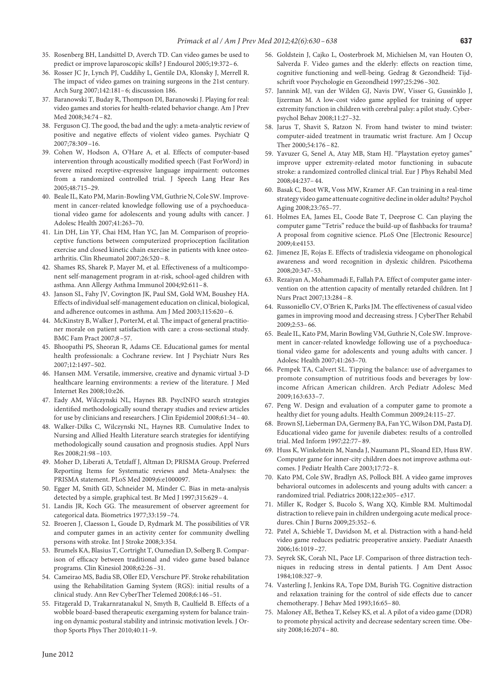- <span id="page-7-0"></span>35. Rosenberg BH, Landsittel D, Averch TD. Can video games be used to predict or improve laparoscopic skills? J Endourol 2005;19:372– 6.
- 36. Rosser JC Jr, Lynch PJ, Cuddihy L, Gentile DA, Klonsky J, Merrell R. The impact of video games on training surgeons in the 21st century. Arch Surg 2007;142:181– 6; discusssion 186.
- <span id="page-7-1"></span>37. Baranowski T, Buday R, Thompson DI, Baranowski J. Playing for real: video games and stories for health-related behavior change. Am J Prev Med 2008;34:74 – 82.
- <span id="page-7-2"></span>38. Ferguson CJ. The good, the bad and the ugly: a meta-analytic review of positive and negative effects of violent video games. Psychiatr Q 2007;78:309 –16.
- <span id="page-7-3"></span>39. Cohen W, Hodson A, O'Hare A, et al. Effects of computer-based intervention through acoustically modifıed speech (Fast ForWord) in severe mixed receptive-expressive language impairment: outcomes from a randomized controlled trial. J Speech Lang Hear Res 2005;48:715–29.
- 40. Beale IL, Kato PM, Marin-Bowling VM, Guthrie N, Cole SW. Improvement in cancer-related knowledge following use of a psychoeducational video game for adolescents and young adults with cancer. J Adolesc Health 2007;41:263–70.
- <span id="page-7-11"></span>41. Lin DH, Lin YF, Chai HM, Han YC, Jan M. Comparison of proprioceptive functions between computerized proprioception facilitation exercise and closed kinetic chain exercise in patients with knee osteoarthritis. Clin Rheumatol 2007;26:520 – 8.
- 42. Shames RS, Sharek P, Mayer M, et al. Effectiveness of a multicomponent self-management program in at-risk, school-aged children with asthma. Ann Allergy Asthma Immunol 2004;92:611– 8.
- <span id="page-7-4"></span>43. Janson SL, Fahy JV, Covington JK, Paul SM, Gold WM, Boushey HA. Effects of individual self-management education on clinical, biological, and adherence outcomes in asthma. Am J Med 2003;115:620 – 6.
- <span id="page-7-5"></span>44. McKinstry B, Walker J, PorterM, et al. The impact of general practitioner morale on patient satisfaction with care: a cross-sectional study. BMC Fam Pract 2007;8 –57.
- <span id="page-7-6"></span>45. Bhoopathi PS, Sheoran R, Adams CE. Educational games for mental health professionals: a Cochrane review. Int J Psychiatr Nurs Res 2007;12:1497–502.
- 46. Hansen MM. Versatile, immersive, creative and dynamic virtual 3-D healthcare learning environments: a review of the literature. J Med Internet Res 2008;10:e26.
- <span id="page-7-7"></span>47. Eady AM, Wilczynski NL, Haynes RB. PsycINFO search strategies identifıed methodologically sound therapy studies and review articles for use by clinicians and researchers. J Clin Epidemiol 2008;61:34 – 40.
- 48. Walker-Dilks C, Wilczynski NL, Haynes RB. Cumulative Index to Nursing and Allied Health Literature search strategies for identifying methodologically sound causation and prognosis studies. Appl Nurs Res 2008;21:98 –103.
- <span id="page-7-8"></span>49. Moher D, Liberati A, Tetzlaff J, Altman D; PRISMA Group. Preferred Reporting Items for Systematic reviews and Meta-Analyses: the PRISMA statement. PLoS Med 2009;6:e1000097.
- <span id="page-7-10"></span><span id="page-7-9"></span>50. Egger M, Smith GD, Schneider M, Minder C. Bias in meta-analysis detected by a simple, graphical test. Br Med J 1997;315:629 – 4.
- <span id="page-7-16"></span>51. Landis JR, Koch GG. The measurement of observer agreement for categorical data. Biometrics 1977;33:159 –74.
- 52. Broeren J, Claesson L, Goude D, Rydmark M. The possibilities of VR and computer games in an activity center for community dwelling persons with stroke. Int J Stroke 2008;3:354.
- <span id="page-7-12"></span>53. Brumels KA, Blasius T, Cortright T, Oumedian D, Solberg B. Comparison of effıcacy between traditional and video game based balance programs. Clin Kinesiol 2008;62:26 –31.
- 54. Cameirao MS, Badia SB, Oller ED, Verschure PF. Stroke rehabilitation using the Rehabilitation Gaming System (RGS): initial results of a clinical study. Ann Rev CyberTher Telemed 2008;6:146 –51.
- 55. Fitzgerald D, Trakarnratanakul N, Smyth B, Caulfıeld B. Effects of a wobble board-based therapeutic exergaming system for balance training on dynamic postural stability and intrinsic motivation levels. J Orthop Sports Phys Ther 2010;40:11–9.
- <span id="page-7-14"></span>56. Goldstein J, Cajko L, Oosterbroek M, Michielsen M, van Houten O, Salverda F. Video games and the elderly: effects on reaction time, cognitive functioning and well-being. Gedrag & Gezondheid: Tijdschrift voor Psychologie en Gezondheid 1997;25:296 –302.
- 57. Jannink MJ, van der Wilden GJ, Navis DW, Visser G, Gussinklo J, Ijzerman M. A low-cost video game applied for training of upper extremity function in children with cerebral palsy: a pilot study. Cyberpsychol Behav 2008;11:27–32.
- 58. Jarus T, Shavit S, Ratzon N. From hand twister to mind twister: computer-aided treatment in traumatic wrist fracture. Am J Occup Ther 2000;54:176 – 82.
- 59. Yavuzer G, Senel A, Atay MB, Stam HJ. "Playstation eyetoy games" improve upper extremity-related motor functioning in subacute stroke: a randomized controlled clinical trial. Eur J Phys Rehabil Med 2008;44:237– 44.
- <span id="page-7-13"></span>60. Basak C, Boot WR, Voss MW, Kramer AF. Can training in a real-time strategy video game attenuate cognitive decline in older adults? Psychol Aging 2008;23:765–77.
- 61. Holmes EA, James EL, Coode Bate T, Deeprose C. Can playing the computer game "Tetris" reduce the build-up of flashbacks for trauma? A proposal from cognitive science. PLoS One [Electronic Resource] 2009;4:e4153.
- 62. Jimenez JE, Rojas E. Effects of tradislexia videogame on phonological awareness and word recognition in dyslexic children. Psicothema 2008;20:347–53.
- 63. Rezaiyan A, Mohammadi E, Fallah PA. Effect of computer game intervention on the attention capacity of mentally retarded children. Int J Nurs Pract 2007;13:284 – 8.
- 64. Russoniello CV, O'Brien K, Parks JM. The effectiveness of casual video games in improving mood and decreasing stress. J CyberTher Rehabil 2009;2:53– 66.
- <span id="page-7-15"></span>65. Beale IL, Kato PM, Marin Bowling VM, Guthrie N, Cole SW. Improvement in cancer-related knowledge following use of a psychoeducational video game for adolescents and young adults with cancer. J Adolesc Health 2007;41:263–70.
- 66. Pempek TA, Calvert SL. Tipping the balance: use of advergames to promote consumption of nutritious foods and beverages by lowincome African American children. Arch Pediatr Adolesc Med 2009;163:633–7.
- 67. Peng W. Design and evaluation of a computer game to promote a healthy diet for young adults. Health Commun 2009;24:115–27.
- 68. Brown SJ, Lieberman DA, Germeny BA, Fan YC,Wilson DM, Pasta DJ. Educational video game for juvenile diabetes: results of a controlled trial. Med Inform 1997;22:77– 89.
- 69. Huss K, Winkelstein M, Nanda J, Naumann PL, Sloand ED, Huss RW. Computer game for inner-city children does not improve asthma outcomes. J Pediatr Health Care 2003;17:72– 8.
- 70. Kato PM, Cole SW, Bradlyn AS, Pollock BH. A video game improves behavioral outcomes in adolescents and young adults with cancer: a randomized trial. Pediatrics 2008;122:e305– e317.
- 71. Miller K, Rodger S, Bucolo S, Wang XQ, Kimble RM. Multimodal distraction to relieve pain in children undergoing acute medical procedures. Chin J Burns 2009;25:352– 6.
- 72. Patel A, Schieble T, Davidson M, et al. Distraction with a hand-held video game reduces pediatric preoperative anxiety. Paediatr Anaesth 2006;16:1019 –27.
- 73. Seyrek SK, Corah NL, Pace LF. Comparison of three distraction techniques in reducing stress in dental patients. J Am Dent Assoc 1984;108:327–9.
- 74. Vasterling J, Jenkins RA, Tope DM, Burish TG. Cognitive distraction and relaxation training for the control of side effects due to cancer chemotherapy. J Behav Med 1993;16:65– 80.
- 75. Maloney AE, Bethea T, Kelsey KS, et al. A pilot of a video game (DDR) to promote physical activity and decrease sedentary screen time. Obesity 2008;16:2074 – 80.